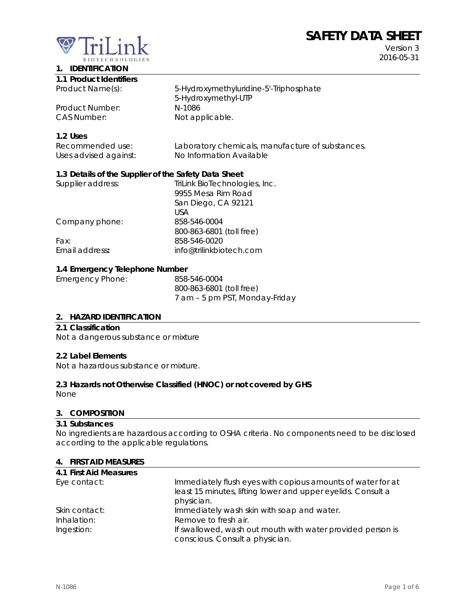# **SAFETY DATA SHEET**



Version 3 2016-05-31

# **1. IDENTIFICATION**

| 1.1 Product Identifiers |                                        |
|-------------------------|----------------------------------------|
| Product Name(s):        | 5-Hydroxymethyluridine-5'-Triphosphate |
|                         | 5-Hydroxymethyl-UTP                    |
| Product Number:         | N-1086                                 |
| CAS Number:             | Not applicable.                        |

## **1.2 Uses**

| Recommended use:      | Laboratory chemicals, manufacture of substances. |
|-----------------------|--------------------------------------------------|
| Uses advised against: | No Information Available                         |

# **1.3 Details of the Supplier of the Safety Data Sheet**

| Supplier address: | TriLink BioTechnologies, Inc. |
|-------------------|-------------------------------|
|                   | 9955 Mesa Rim Road            |
|                   | San Diego, CA 92121           |
|                   | USA                           |
| Company phone:    | 858-546-0004                  |
|                   | 800-863-6801 (toll free)      |
| Fax:              | 858-546-0020                  |
| Email address:    | info@trilinkbiotech.com       |
|                   |                               |

## **1.4 Emergency Telephone Number**

| Emergency Phone: | 858-546-0004                   |
|------------------|--------------------------------|
|                  | 800-863-6801 (toll free)       |
|                  | 7 am - 5 pm PST, Monday-Friday |

# **2. HAZARD IDENTIFICATION**

#### **2.1 Classification**

Not a dangerous substance or mixture

#### **2.2 Label Elements**

Not a hazardous substance or mixture.

# **2.3 Hazards not Otherwise Classified (HNOC) or not covered by GHS**

None

## **3. COMPOSITION**

#### **3.1 Substances**

No ingredients are hazardous according to OSHA criteria. No components need to be disclosed according to the applicable regulations.

#### **4. FIRST AID MEASURES**

| 4.1 First Aid Measures |                                                              |
|------------------------|--------------------------------------------------------------|
| Eye contact:           | Immediately flush eyes with copious amounts of water for at  |
|                        | least 15 minutes, lifting lower and upper eyelids. Consult a |
|                        | physician.                                                   |
| Skin contact:          | Immediately wash skin with soap and water.                   |
| Inhalation:            | Remove to fresh air.                                         |
| Ingestion:             | If swallowed, wash out mouth with water provided person is   |
|                        | conscious. Consult a physician.                              |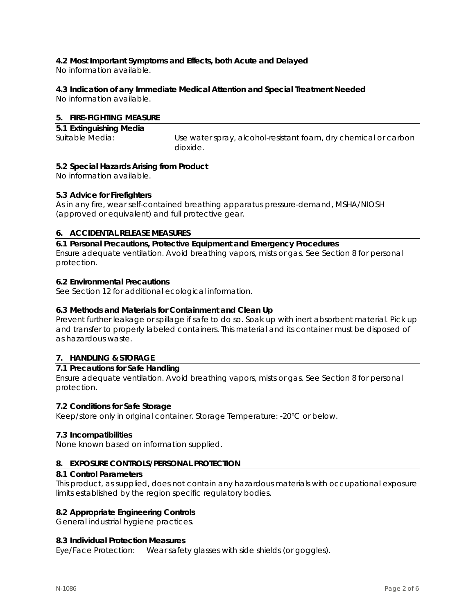# **4.2 Most Important Symptoms and Effects, both Acute and Delayed**

No information available.

# **4.3 Indication of any Immediate Medical Attention and Special Treatment Needed**

No information available.

# **5. FIRE-FIGHTING MEASURE**

| 5.1 Extinguishing Media |                                                                 |
|-------------------------|-----------------------------------------------------------------|
| Suitable Media:         | Use water spray, alcohol-resistant foam, dry chemical or carbon |
|                         | dioxide.                                                        |

# **5.2 Special Hazards Arising from Product**

No information available.

# **5.3 Advice for Firefighters**

As in any fire, wear self-contained breathing apparatus pressure-demand, MSHA/NIOSH (approved or equivalent) and full protective gear.

# **6. ACCIDENTAL RELEASE MEASURES**

**6.1 Personal Precautions, Protective Equipment and Emergency Procedures**  Ensure adequate ventilation. Avoid breathing vapors, mists or gas. See Section 8 for personal protection.

# **6.2 Environmental Precautions**

See Section 12 for additional ecological information.

# **6.3 Methods and Materials for Containment and Clean Up**

Prevent further leakage or spillage if safe to do so. Soak up with inert absorbent material. Pick up and transfer to properly labeled containers. This material and its container must be disposed of as hazardous waste.

# **7. HANDLING & STORAGE**

# **7.1 Precautions for Safe Handling**

Ensure adequate ventilation. Avoid breathing vapors, mists or gas. See Section 8 for personal protection.

# **7.2 Conditions for Safe Storage**

Keep/store only in original container. Storage Temperature: -20°C or below.

# **7.3 Incompatibilities**

None known based on information supplied.

# **8. EXPOSURE CONTROLS/PERSONAL PROTECTION**

#### **8.1 Control Parameters**

This product, as supplied, does not contain any hazardous materials with occupational exposure limits established by the region specific regulatory bodies.

# **8.2 Appropriate Engineering Controls**

General industrial hygiene practices.

# **8.3 Individual Protection Measures**

Eye/Face Protection: Wear safety glasses with side shields (or goggles).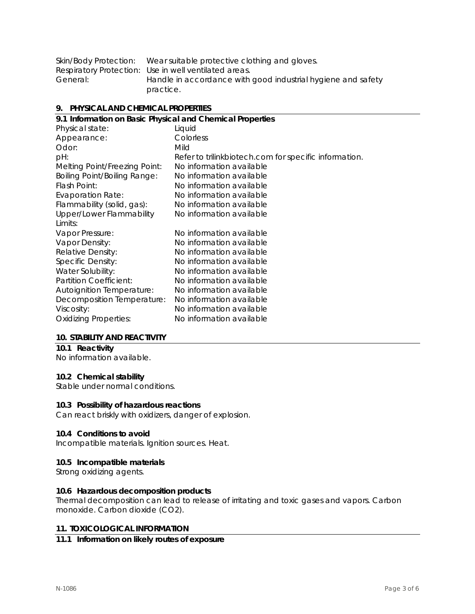| Skin/Body Protection: | Wear suitable protective clothing and gloves.                |
|-----------------------|--------------------------------------------------------------|
|                       | Respiratory Protection: Use in well ventilated areas.        |
| General:              | Handle in accordance with good industrial hygiene and safety |
|                       | practice.                                                    |

#### **9. PHYSICAL AND CHEMICAL PROPERTIES**

| 9.1 Information on Basic Physical and Chemical Properties |                                                       |  |
|-----------------------------------------------------------|-------------------------------------------------------|--|
| Physical state:                                           | Liquid                                                |  |
| Appearance:                                               | Colorless                                             |  |
| Odor:                                                     | Mild                                                  |  |
| pH:                                                       | Refer to trilinkbiotech.com for specific information. |  |
| Melting Point/Freezing Point:                             | No information available                              |  |
| <b>Boiling Point/Boiling Range:</b>                       | No information available                              |  |
| Flash Point:                                              | No information available                              |  |
| <b>Evaporation Rate:</b>                                  | No information available                              |  |
| Flammability (solid, gas):                                | No information available                              |  |
| Upper/Lower Flammability                                  | No information available                              |  |
| Limits:                                                   |                                                       |  |
| Vapor Pressure:                                           | No information available                              |  |
| Vapor Density:                                            | No information available                              |  |
| Relative Density:                                         | No information available                              |  |
| Specific Density:                                         | No information available                              |  |
| Water Solubility:                                         | No information available                              |  |
| Partition Coefficient:                                    | No information available                              |  |
| <b>Autoignition Temperature:</b>                          | No information available                              |  |
| Decomposition Temperature:                                | No information available                              |  |
| Viscosity:                                                | No information available                              |  |
| <b>Oxidizing Properties:</b>                              | No information available                              |  |
|                                                           |                                                       |  |

#### **10. STABILITY AND REACTIVITY**

# **10.1 Reactivity**

No information available.

# **10.2 Chemical stability**

Stable under normal conditions.

#### **10.3 Possibility of hazardous reactions**

Can react briskly with oxidizers, danger of explosion.

#### **10.4 Conditions to avoid**

Incompatible materials. Ignition sources. Heat.

#### **10.5 Incompatible materials**

Strong oxidizing agents.

#### **10.6 Hazardous decomposition products**

Thermal decomposition can lead to release of irritating and toxic gases and vapors. Carbon monoxide. Carbon dioxide (CO2).

## **11. TOXICOLOGICAL INFORMATION**

# **11.1 Information on likely routes of exposure**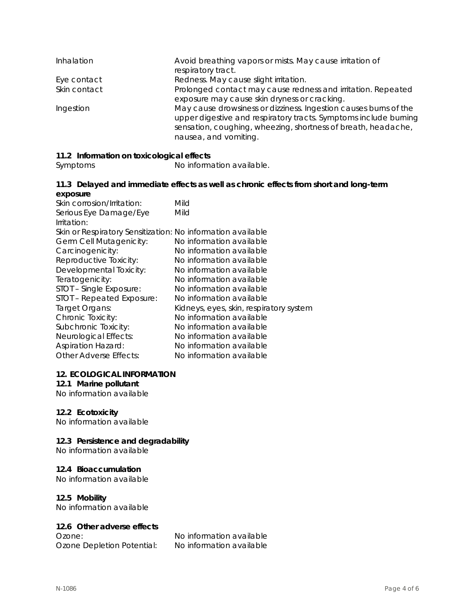| Inhalation   | Avoid breathing vapors or mists. May cause irritation of<br>respiratory tract.                                                                                                                                                 |
|--------------|--------------------------------------------------------------------------------------------------------------------------------------------------------------------------------------------------------------------------------|
| Eye contact  | Redness. May cause slight irritation.                                                                                                                                                                                          |
| Skin contact | Prolonged contact may cause redness and irritation. Repeated<br>exposure may cause skin dryness or cracking.                                                                                                                   |
| Ingestion    | May cause drowsiness or dizziness. Ingestion causes burns of the<br>upper digestive and respiratory tracts. Symptoms include burning<br>sensation, coughing, wheezing, shortness of breath, headache,<br>nausea, and vomiting. |

# **11.2 Information on toxicological effects**

Symptoms No information available.

## **11.3 Delayed and immediate effects as well as chronic effects from short and long-term exposure**

| Skin corrosion/Irritation:                                  | Mild                                    |
|-------------------------------------------------------------|-----------------------------------------|
| Serious Eye Damage/Eye                                      | Mild                                    |
| Irritation:                                                 |                                         |
| Skin or Respiratory Sensitization: No information available |                                         |
| Germ Cell Mutagenicity:                                     | No information available                |
| Carcinogenicity:                                            | No information available                |
| Reproductive Toxicity:                                      | No information available                |
| Developmental Toxicity:                                     | No information available                |
| Teratogenicity:                                             | No information available                |
| STOT - Single Exposure:                                     | No information available                |
| STOT - Repeated Exposure:                                   | No information available                |
| Target Organs:                                              | Kidneys, eyes, skin, respiratory system |
| Chronic Toxicity:                                           | No information available                |
| Subchronic Toxicity:                                        | No information available                |
| Neurological Effects:                                       | No information available                |
| <b>Aspiration Hazard:</b>                                   | No information available                |
| <b>Other Adverse Effects:</b>                               | No information available                |
|                                                             |                                         |

#### **12. ECOLOGICAL INFORMATION**

# **12.1 Marine pollutant**

No information available

# **12.2 Ecotoxicity**

No information available

# **12.3 Persistence and degradability**

No information available

# **12.4 Bioaccumulation**

No information available

# **12.5 Mobility**

No information available

# **12.6 Other adverse effects**

Ozone Depletion Potential: No information available

Ozone: No information available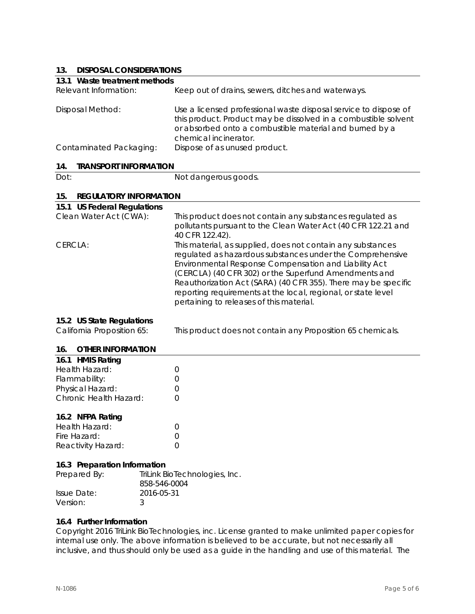# **13. DISPOSAL CONSIDERATIONS**

| IJ.<br><b>DISPOSAL CONSIDERATIONS</b> |                                                                                                                                                                                                                                                                                                                                                                                                                           |
|---------------------------------------|---------------------------------------------------------------------------------------------------------------------------------------------------------------------------------------------------------------------------------------------------------------------------------------------------------------------------------------------------------------------------------------------------------------------------|
| 13.1 Waste treatment methods          |                                                                                                                                                                                                                                                                                                                                                                                                                           |
| Relevant Information:                 | Keep out of drains, sewers, ditches and waterways.                                                                                                                                                                                                                                                                                                                                                                        |
| <b>Disposal Method:</b>               | Use a licensed professional waste disposal service to dispose of<br>this product. Product may be dissolved in a combustible solvent<br>or absorbed onto a combustible material and burned by a<br>chemical incinerator.                                                                                                                                                                                                   |
| Contaminated Packaging:               | Dispose of as unused product.                                                                                                                                                                                                                                                                                                                                                                                             |
| <b>TRANSPORT INFORMATION</b><br>14.   |                                                                                                                                                                                                                                                                                                                                                                                                                           |
| Dot:                                  | Not dangerous goods.                                                                                                                                                                                                                                                                                                                                                                                                      |
| 15.<br><b>REGULATORY INFORMATION</b>  |                                                                                                                                                                                                                                                                                                                                                                                                                           |
| 15.1 US Federal Regulations           |                                                                                                                                                                                                                                                                                                                                                                                                                           |
| Clean Water Act (CWA):                | This product does not contain any substances regulated as<br>pollutants pursuant to the Clean Water Act (40 CFR 122.21 and<br>40 CFR 122.42).                                                                                                                                                                                                                                                                             |
| CERCLA:                               | This material, as supplied, does not contain any substances<br>regulated as hazardous substances under the Comprehensive<br>Environmental Response Compensation and Liability Act<br>(CERCLA) (40 CFR 302) or the Superfund Amendments and<br>Reauthorization Act (SARA) (40 CFR 355). There may be specific<br>reporting requirements at the local, regional, or state level<br>pertaining to releases of this material. |
| 15.2 US State Regulations             |                                                                                                                                                                                                                                                                                                                                                                                                                           |
| California Proposition 65:            | This product does not contain any Proposition 65 chemicals.                                                                                                                                                                                                                                                                                                                                                               |
| <b>OTHER INFORMATION</b><br>16.       |                                                                                                                                                                                                                                                                                                                                                                                                                           |

# **16.1 HMIS Rating**  Health Hazard: 0

| Flammability:          | $\left( \right)$ |
|------------------------|------------------|
| Physical Hazard:       | $\left( \right)$ |
| Chronic Health Hazard: | $\left( \right)$ |
|                        |                  |

# **16.2 NFPA Rating**

| Health Hazard:     |                  |
|--------------------|------------------|
| Fire Hazard:       | $\left( \right)$ |
| Reactivity Hazard: |                  |

# **16.3 Preparation Information**

| Prepared By: | TriLink BioTechnologies, Inc.<br>858-546-0004 |
|--------------|-----------------------------------------------|
| Issue Date:  | 2016-05-31                                    |
| Version:     |                                               |

# **16.4 Further Information**

Copyright 2016 TriLink BioTechnologies, inc. License granted to make unlimited paper copies for internal use only. The above information is believed to be accurate, but not necessarily all inclusive, and thus should only be used as a guide in the handling and use of this material. The